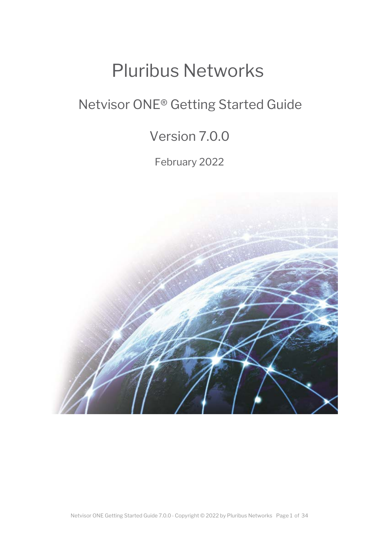# Pluribus Networks

## Netvisor ONE® Getting Started Guide

## Version 7.0.0

February 2022

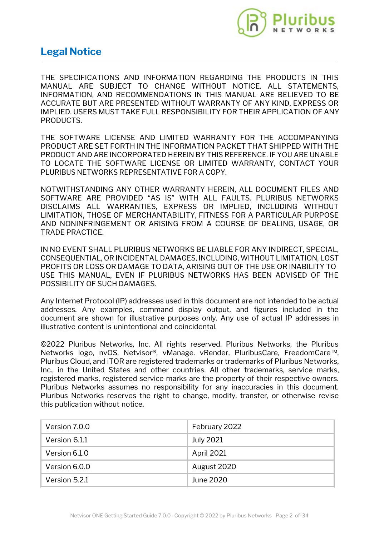

## **Legal Notice**

THE SPECIFICATIONS AND INFORMATION REGARDING THE PRODUCTS IN THIS MANUAL ARE SUBJECT TO CHANGE WITHOUT NOTICE. ALL STATEMENTS, INFORMATION, AND RECOMMENDATIONS IN THIS MANUAL ARE BELIEVED TO BE ACCURATE BUT ARE PRESENTED WITHOUT WARRANTY OF ANY KIND, EXPRESS OR IMPLIED. USERS MUST TAKE FULL RESPONSIBILITY FOR THEIR APPLICATION OF ANY PRODUCTS.

THE SOFTWARE LICENSE AND LIMITED WARRANTY FOR THE ACCOMPANYING PRODUCT ARE SET FORTH IN THE INFORMATION PACKET THAT SHIPPED WITH THE PRODUCT AND ARE INCORPORATED HEREIN BY THIS REFERENCE. IF YOU ARE UNABLE TO LOCATE THE SOFTWARE LICENSE OR LIMITED WARRANTY, CONTACT YOUR PLURIBUS NETWORKS REPRESENTATIVE FOR A COPY.

NOTWITHSTANDING ANY OTHER WARRANTY HEREIN, ALL DOCUMENT FILES AND SOFTWARE ARE PROVIDED "AS IS" WITH ALL FAULTS. PLURIBUS NETWORKS DISCLAIMS ALL WARRANTIES, EXPRESS OR IMPLIED, INCLUDING WITHOUT LIMITATION, THOSE OF MERCHANTABILITY, FITNESS FOR A PARTICULAR PURPOSE AND NONINFRINGEMENT OR ARISING FROM A COURSE OF DEALING, USAGE, OR TRADE PRACTICE.

IN NO EVENT SHALL PLURIBUS NETWORKS BE LIABLE FOR ANY INDIRECT, SPECIAL, CONSEQUENTIAL, OR INCIDENTAL DAMAGES, INCLUDING, WITHOUT LIMITATION, LOST PROFITS OR LOSS OR DAMAGE TO DATA, ARISING OUT OF THE USE OR INABILITY TO USE THIS MANUAL, EVEN IF PLURIBUS NETWORKS HAS BEEN ADVISED OF THE POSSIBILITY OF SUCH DAMAGES.

Any Internet Protocol (IP) addresses used in this document are not intended to be actual addresses. Any examples, command display output, and figures included in the document are shown for illustrative purposes only. Any use of actual IP addresses in illustrative content is unintentional and coincidental.

©2022 Pluribus Networks, Inc. All rights reserved. Pluribus Networks, the Pluribus Networks logo, nvOS, Netvisor®, vManage. vRender, PluribusCare, FreedomCare™, Pluribus Cloud, and iTOR are registered trademarks or trademarks of Pluribus Networks, Inc., in the United States and other countries. All other trademarks, service marks, registered marks, registered service marks are the property of their respective owners. Pluribus Networks assumes no responsibility for any inaccuracies in this document. Pluribus Networks reserves the right to change, modify, transfer, or otherwise revise this publication without notice.

| Version 7.0.0 | February 2022    |
|---------------|------------------|
| Version 6.1.1 | <b>July 2021</b> |
| Version 6.1.0 | April 2021       |
| Version 6.0.0 | August 2020      |
| Version 5.2.1 | June 2020        |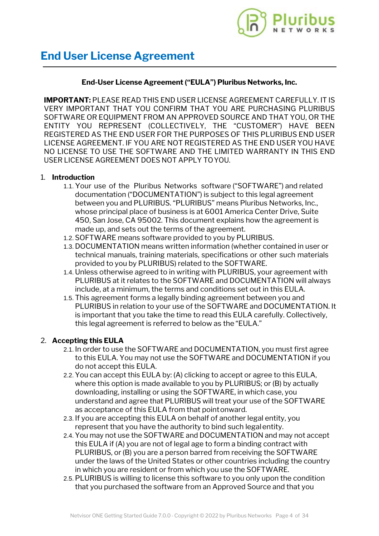

## **End-User License Agreement ("EULA") Pluribus Networks, Inc.**

**IMPORTANT:** PLEASE READ THIS END USER LICENSE AGREEMENT CAREFULLY. IT IS VERY IMPORTANT THAT YOU CONFIRM THAT YOU ARE PURCHASING PLURIBUS SOFTWARE OR EQUIPMENT FROM AN APPROVED SOURCE AND THAT YOU, OR THE ENTITY YOU REPRESENT (COLLECTIVELY, THE "CUSTOMER") HAVE BEEN REGISTERED AS THE END USER FOR THE PURPOSES OF THIS PLURIBUS END USER LICENSE AGREEMENT. IF YOU ARE NOT REGISTERED AS THE END USER YOU HAVE NO LICENSE TO USE THE SOFTWARE AND THE LIMITED WARRANTY IN THIS END USER LICENSE AGREEMENT DOES NOT APPLY TOYOU.

#### 1. **Introduction**

- 1.1.Your use of the Pluribus Networks software ("SOFTWARE") and related documentation ("DOCUMENTATION") is subject to this legal agreement between you and PLURIBUS. "PLURIBUS" means Pluribus Networks, Inc., whose principal place of business is at 6001 America Center Drive, Suite 450, San Jose, CA 95002. This document explains how the agreement is made up, and sets out the terms of the agreement.
- 1.2.SOFTWARE means software provided to you by PLURIBUS.
- 1.3. DOCUMENTATION means written information (whether contained in user or technical manuals, training materials, specifications or other such materials provided to you by PLURIBUS) related to the SOFTWARE.
- 1.4. Unless otherwise agreed to in writing with PLURIBUS, your agreement with PLURIBUS at it relates to the SOFTWARE and DOCUMENTATION will always include, at a minimum, the terms and conditions set out in this EULA.
- 1.5.This agreement forms a legally binding agreement between you and PLURIBUS in relation to your use of the SOFTWARE and DOCUMENTATION. It is important that you take the time to read this EULA carefully. Collectively, this legal agreement is referred to below as the "EULA."

## 2. **Accepting this EULA**

- 2.1. In order to use the SOFTWARE and DOCUMENTATION, you must first agree to this EULA. You may not use the SOFTWARE and DOCUMENTATION if you do not accept this EULA.
- 2.2.You can accept this EULA by: (A) clicking to accept or agree to this EULA, where this option is made available to you by PLURIBUS; or (B) by actually downloading, installing or using the SOFTWARE, in which case, you understand and agree that PLURIBUS will treat your use of the SOFTWARE as acceptance of this EULA from that pointonward.
- 2.3. If you are accepting this EULA on behalf of another legal entity, you represent that you have the authority to bind such legalentity.
- 2.4.You may not use the SOFTWARE and DOCUMENTATION and may not accept this EULA if (A) you are not of legal age to form a binding contract with PLURIBUS, or (B) you are a person barred from receiving the SOFTWARE under the laws of the United States or other countries including the country in which you are resident or from which you use the SOFTWARE.
- 2.5.PLURIBUS is willing to license this software to you only upon the condition that you purchased the software from an Approved Source and that you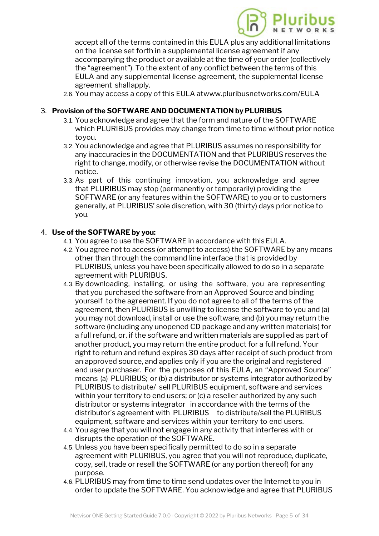

accept all of the terms contained in this EULA [plus any additional limitations](https://www.pluribusnetworks.com) on the license set forth in a supplemental license agreement if any accompanying the product or available at the time of your order (collectively the "agreement"). To the extent of any conflict between the terms of this EULA and any supplemental license agreement, the supplemental license agreement shallapply.

2.6.You may access a copy of this EULA at[www.pluribusnetworks.com/EULA](http://www.pluribusnetworks.com/EULA)

#### 3. **Provision of the SOFTWARE AND DOCUMENTATION by PLURIBUS**

- 3.1.You acknowledge and agree that the form and nature of the SOFTWARE which PLURIBUS provides may change from time to time without prior notice toyou.
- 3.2.You acknowledge and agree that PLURIBUS assumes no responsibility for any inaccuracies in the DOCUMENTATION and that PLURIBUS reserves the right to change, modify, or otherwise revise the DOCUMENTATION without notice.
- 3.3. As part of this continuing innovation, you acknowledge and agree that PLURIBUS may stop (permanently or temporarily) providing the SOFTWARE (or any features within the SOFTWARE) to you or to customers generally, at PLURIBUS' sole discretion, with 30 (thirty) days prior notice to you.

#### 4. **Use of the SOFTWARE by you:**

- 4.1.You agree to use the SOFTWARE in accordance with thisEULA.
- 4.2.You agree not to access (or attempt to access) the SOFTWARE by any means other than through the command line interface that is provided by PLURIBUS, unless you have been specifically allowed to do so in a separate agreement with PLURIBUS.
- 4.3.By downloading, installing, or using the software, you are representing that you purchased the software from an Approved Source and binding yourself to the agreement. If you do not agree to all of the terms of the agreement, then PLURIBUS is unwilling to license the software to you and (a) you may not download, install or use the software, and (b) you may return the software (including any unopened CD package and any written materials) for a full refund, or, if the software and written materials are supplied as part of another product, you may return the entire product for a full refund. Your right to return and refund expires 30 days after receipt of such product from an approved source, and applies only if you are the original and registered end user purchaser. For the purposes of this EULA, an "Approved Source" means (a) PLURIBUS; or (b) a distributor or systems integrator authorized by PLURIBUS to distribute/ sell PLURIBUS equipment, software and services within your territory to end users; or (c) a reseller authorized by any such distributor or systems integrator in accordance with the terms of the distributor's agreement with PLURIBUS to distribute/sell the PLURIBUS equipment, software and services within your territory to end users.
- 4.4.You agree that you will not engage in any activity that interferes with or disrupts the operation of the SOFTWARE.
- 4.5. Unless you have been specifically permitted to do so in a separate agreement with PLURIBUS, you agree that you will not reproduce, duplicate, copy, sell, trade or resell the SOFTWARE (or any portion thereof) for any purpose.
- 4.6.PLURIBUS may from time to time send updates over the Internet to you in order to update the SOFTWARE. You acknowledge and agree that PLURIBUS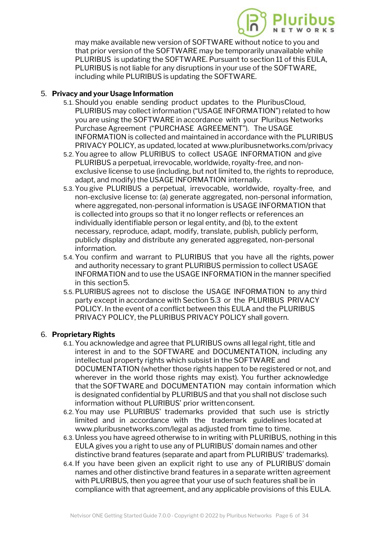

may make available new version of SOFTWARE without notice to you and that prior version of the SOFTWARE may be te[mporarily unavailable while](https://www.pluribusnetworks.com) PLURIBUS is updating the SOFTWARE. Pursuant to section 11 of this EULA, PLURIBUS is not liable for any disruptions in your use of the SOFTWARE, including while PLURIBUS is updating the SOFTWARE.

#### 5. **Privacy and your Usage Information**

- 5.1.Should you enable sending product updates to the PluribusCloud, PLURIBUS may collect information ("USAGE INFORMATION") related to how you are using the SOFTWARE in accordance with your Pluribus Networks Purchase Agreement ("PURCHASE AGREEMENT"). The USAGE INFORMATION is collected and maintained in accordance with the PLURIBUS PRIVACY POLICY, as updated, located at [www.pluribusnetworks.com/privacy](http://www.pluribusnetworks.com/privacy)
- 5.2.You agree to allow PLURIBUS to collect USAGE INFORMATION and give PLURIBUS a perpetual, irrevocable, worldwide, royalty-free, and nonexclusive license to use (including, but not limited to, the rights to reproduce, adapt, and modify) the USAGE INFORMATION internally.
- 5.3.You give PLURIBUS a perpetual, irrevocable, worldwide, royalty-free, and non-exclusive license to: (a) generate aggregated, non-personal information, where aggregated, non-personal information is USAGE INFORMATION that is collected into groups so that it no longer reflects or references an individually identifiable person or legal entity, and (b), to the extent necessary, reproduce, adapt, modify, translate, publish, publicly perform, publicly display and distribute any generated aggregated, non-personal information.
- 5.4.You confirm and warrant to PLURIBUS that you have all the rights, power and authority necessary to grant PLURIBUS permission to collect USAGE INFORMATION and to use the USAGE INFORMATION in the manner specified in this section5.
- 5.5.PLURIBUS agrees not to disclose the USAGE INFORMATION to any third party except in accordance with Section 5.3 or the PLURIBUS PRIVACY POLICY. In the event of a conflict between this EULA and the PLURIBUS PRIVACY POLICY, the PLURIBUS PRIVACY POLICY shall govern.

## 6. **Proprietary Rights**

- 6.1.You acknowledge and agree that PLURIBUS owns all legal right, title and interest in and to the SOFTWARE and DOCUMENTATION, including any intellectual property rights which subsist in the SOFTWARE and DOCUMENTATION (whether those rights happen to be registered or not, and wherever in the world those rights may exist). You further acknowledge that the SOFTWARE and DOCUMENTATION may contain information which is designated confidential by PLURIBUS and that you shall not disclose such information without PLURIBUS' prior writtenconsent.
- 6.2.You may use PLURIBUS' trademarks provided that such use is strictly limited and in accordance with the trademark guidelines located at [www.pluribusnetworks.com/legal](http://www.pluribusnetworks.com/legal) as adjusted from time to time.
- 6.3. Unless you have agreed otherwise to in writing with PLURIBUS, nothing in this EULA gives you a right to use any of PLURIBUS' domain names and other distinctive brand features (separate and apart from PLURIBUS' trademarks).
- 6.4. If you have been given an explicit right to use any of PLURIBUS' domain names and other distinctive brand features in a separate written agreement with PLURIBUS, then you agree that your use of such features shall be in compliance with that agreement, and any applicable provisions of this EULA.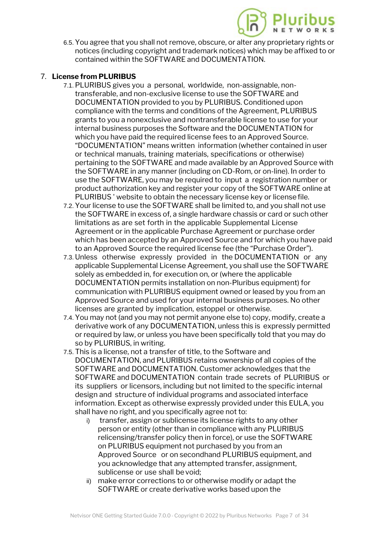

6.5.You agree that you shall not remove, obscure, or alter any proprietary rights or notices (including copyright and trademark noti[ces\) which may be affixed to or](https://www.pluribusnetworks.com) contained within the SOFTWARE and DOCUMENTATION.

## 7. **License from PLURIBUS**

- 7.1.PLURIBUS gives you a personal, worldwide, non-assignable, nontransferable, and non-exclusive license to use the SOFTWARE and DOCUMENTATION provided to you by PLURIBUS. Conditioned upon compliance with the terms and conditions of the Agreement, PLURIBUS grants to you a nonexclusive and nontransferable license to use for your internal business purposes the Software and the DOCUMENTATION for which you have paid the required license fees to an Approved Source. "DOCUMENTATION" means written information (whether contained in user or technical manuals, training materials, specifications or otherwise) pertaining to the SOFTWARE and made available by an Approved Source with the SOFTWARE in any manner (including on CD-Rom, or on-line). In order to use the SOFTWARE, you may be required to input a registration number or product authorization key and register your copy of the SOFTWARE online at PLURIBUS ' website to obtain the necessary license key or licensefile.
- 7.2.Your license to use the SOFTWARE shall be limited to, and you shall not use the SOFTWARE in excess of, a single hardware chassis or card or such other limitations as are set forth in the applicable Supplemental License Agreement or in the applicable Purchase Agreement or purchase order which has been accepted by an Approved Source and for which you have paid to an Approved Source the required license fee (the "Purchase Order").
- 7.3. Unless otherwise expressly provided in the DOCUMENTATION or any applicable Supplemental License Agreement, you shall use the SOFTWARE solely as embedded in, for execution on, or (where the applicable DOCUMENTATION permits installation on non-Pluribus equipment) for communication with PLURIBUS equipment owned or leased by you from an Approved Source and used for your internal business purposes. No other licenses are granted by implication, estoppel or otherwise.
- 7.4.You may not (and you may not permit anyone else to) copy, modify, create a derivative work of any DOCUMENTATION, unless this is expressly permitted or required by law, or unless you have been specifically told that you may do so by PLURIBUS, in writing.
- 7.5.This is a license, not a transfer of title, to the Software and DOCUMENTATION, and PLURIBUS retains ownership of all copies of the SOFTWARE and DOCUMENTATION. Customer acknowledges that the SOFTWARE and DOCUMENTATION contain trade secrets of PLURIBUS or its suppliers or licensors, including but not limited to the specific internal design and structure of individual programs and associated interface information. Except as otherwise expressly provided under this EULA, you shall have no right, and you specifically agree not to:
	- i) transfer, assign or sublicense its license rights to any other person or entity (other than in compliance with any PLURIBUS relicensing/transfer policy then in force), or use the SOFTWARE on PLURIBUS equipment not purchased by you from an Approved Source or on secondhand PLURIBUS equipment, and you acknowledge that any attempted transfer, assignment, sublicense or use shall be void;
	- ii) make error corrections to or otherwise modify or adapt the SOFTWARE or create derivative works based upon the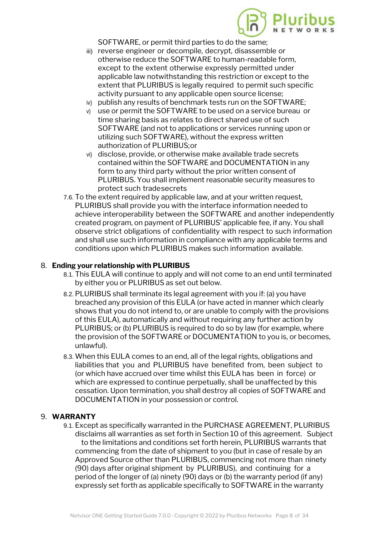

SOFTWARE, or permit third parties to do the same;

- iii) reverse engineer or decompile, decrypt, disassemble or otherwise reduce the SOFTWARE to hu[man-readable form,](https://www.pluribusnetworks.com) except to the extent otherwise expressly permitted under applicable law notwithstanding this restriction or except to the extent that PLURIBUS is legally required to permit such specific activity pursuant to any applicable open source license;
- iv) publish any results of benchmark tests run on the SOFTWARE;
- v) use or permit the SOFTWARE to be used on a service bureau or time sharing basis as relates to direct shared use of such SOFTWARE (and not to applications or services running upon or utilizing such SOFTWARE), without the express written authorization of PLURIBUS;or
- vi) disclose, provide, or otherwise make available trade secrets contained within the SOFTWARE and DOCUMENTATION in any form to any third party without the prior written consent of PLURIBUS. You shall implement reasonable security measures to protect such tradesecrets
- 7.6.To the extent required by applicable law, and at your written request, PLURIBUS shall provide you with the interface information needed to achieve interoperability between the SOFTWARE and another independently created program, on payment of PLURIBUS' applicable fee, if any. You shall observe strict obligations of confidentiality with respect to such information and shall use such information in compliance with any applicable terms and conditions upon which PLURIBUS makes such information available.

#### 8. **Ending your relationship with PLURIBUS**

- 8.1.This EULA will continue to apply and will not come to an end until terminated by either you or PLURIBUS as set out below.
- 8.2.PLURIBUS shall terminate its legal agreement with you if: (a) you have breached any provision of this EULA (or have acted in manner which clearly shows that you do not intend to, or are unable to comply with the provisions of this EULA), automatically and without requiring any further action by PLURIBUS; or (b) PLURIBUS is required to do so by law (for example, where the provision of the SOFTWARE or DOCUMENTATION to you is, or becomes, unlawful).
- 8.3.When this EULA comes to an end, all of the legal rights, obligations and liabilities that you and PLURIBUS have benefited from, been subject to (or which have accrued over time whilst this EULA has been in force) or which are expressed to continue perpetually, shall be unaffected by this cessation. Upon termination, you shall destroy all copies of SOFTWARE and DOCUMENTATION in your possession or control.

#### 9. **WARRANTY**

9.1.Except as specifically warranted in the PURCHASE AGREEMENT, PLURIBUS disclaims all warranties as set forth in Section 10 of this agreement. Subject to the limitations and conditions set forth herein, PLURIBUS warrants that commencing from the date of shipment to you (but in case of resale by an Approved Source other than PLURIBUS, commencing not more than ninety (90) days after original shipment by PLURIBUS), and continuing for a period of the longer of (a) ninety (90) days or (b) the warranty period (if any) expressly set forth as applicable specifically to SOFTWARE in the warranty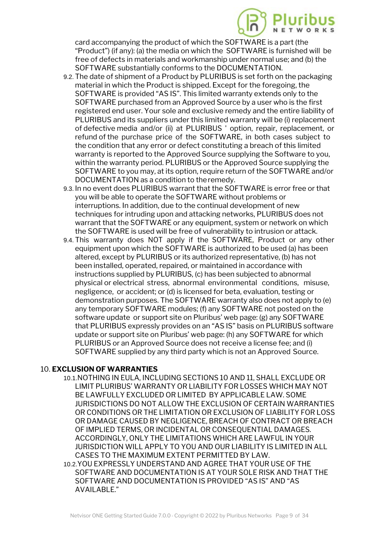

card accompanying the product of which the SOFTWARE is a part (the "Product") (if any): (a) the media on which the S[OFTWARE is furnished will be](https://www.pluribusnetworks.com) free of defects in materials and workmanship under normal use; and (b) the SOFTWARE substantially conforms to the DOCUMENTATION.

- 9.2.The date of shipment of a Product by PLURIBUS is set forth on the packaging material in which the Product is shipped. Except for the foregoing, the SOFTWARE is provided "AS IS". This limited warranty extends only to the SOFTWARE purchased from an Approved Source by a user who is the first registered end user. Your sole and exclusive remedy and the entire liability of PLURIBUS and its suppliers under this limited warranty will be (i) replacement of defective media and/or (ii) at PLURIBUS ' option, repair, replacement, or refund of the purchase price of the SOFTWARE, in both cases subject to the condition that any error or defect constituting a breach of this limited warranty is reported to the Approved Source supplying the Software to you, within the warranty period. PLURIBUS or the Approved Source supplying the SOFTWARE to you may, at its option, require return of the SOFTWARE and/or DOCUMENTATION as a condition to theremedy.
- 9.3. In no event does PLURIBUS warrant that the SOFTWARE is error free or that you will be able to operate the SOFTWARE without problems or interruptions. In addition, due to the continual development of new techniques for intruding upon and attacking networks, PLURIBUS does not warrant that the SOFTWARE or any equipment, system or network on which the SOFTWARE is used will be free of vulnerability to intrusion or attack.
- 9.4.This warranty does NOT apply if the SOFTWARE, Product or any other equipment upon which the SOFTWARE is authorized to be used (a) has been altered, except by PLURIBUS or its authorized representative, (b) has not been installed, operated, repaired, or maintained in accordance with instructions supplied by PLURIBUS, (c) has been subjected to abnormal physical or electrical stress, abnormal environmental conditions, misuse, negligence, or accident; or (d) is licensed for beta, evaluation, testing or demonstration purposes. The SOFTWARE warranty also does not apply to (e) any temporary SOFTWARE modules; (f) any SOFTWARE not posted on the software update or support site on Pluribus' web page: (g) any SOFTWARE that PLURIBUS expressly provides on an "AS IS" basis on PLURIBUS software update or support site on Pluribus' web page: (h) any SOFTWARE for which PLURIBUS or an Approved Source does not receive a license fee; and (i) SOFTWARE supplied by any third party which is not an Approved Source.

#### 10. **EXCLUSION OF WARRANTIES**

- 10.1.NOTHING IN EULA, INCLUDING SECTIONS 10 AND 11, SHALL EXCLUDE OR LIMIT PLURIBUS' WARRANTY OR LIABILITY FOR LOSSES WHICH MAY NOT BE LAWFULLY EXCLUDED OR LIMITED BY APPLICABLE LAW. SOME JURISDICTIONS DO NOT ALLOW THE EXCLUSION OF CERTAIN WARRANTIES OR CONDITIONS OR THE LIMITATION OR EXCLUSION OF LIABILITY FOR LOSS OR DAMAGE CAUSED BY NEGLIGENCE, BREACH OF CONTRACT OR BREACH OF IMPLIED TERMS, OR INCIDENTAL OR CONSEQUENTIAL DAMAGES. ACCORDINGLY, ONLY THE LIMITATIONS WHICH ARE LAWFUL IN YOUR JURISDICTION WILL APPLY TO YOU AND OUR LIABILITY IS LIMITED IN ALL CASES TO THE MAXIMUM EXTENT PERMITTED BY LAW.
- 10.2.YOU EXPRESSLY UNDERSTAND AND AGREE THAT YOUR USE OF THE SOFTWARE AND DOCUMENTATION IS AT YOUR SOLE RISK AND THAT THE SOFTWARE AND DOCUMENTATION IS PROVIDED "AS IS" AND "AS AVAILABLE."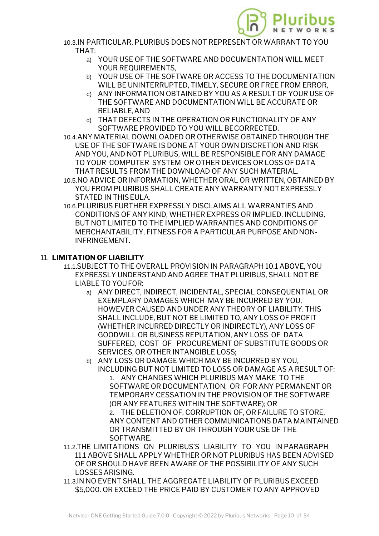

- 10.3.IN PARTICULAR, PLURIBUS DOES NOT REPRE[SENT OR WARRANT TO YOU](https://www.pluribusnetworks.com) THAT:
	- a) YOUR USE OF THE SOFTWARE AND DOCUMENTATION WILL MEET YOUR REQUIREMENTS,
	- b) YOUR USE OF THE SOFTWARE OR ACCESS TO THE DOCUMENTATION WILL BE UNINTERRUPTED, TIMELY, SECURE OR FREE FROM ERROR,
	- c) ANY INFORMATION OBTAINED BY YOU AS A RESULT OF YOUR USE OF THE SOFTWARE AND DOCUMENTATION WILL BE ACCURATE OR RELIABLE,AND
	- d) THAT DEFECTS IN THE OPERATION OR FUNCTIONALITY OF ANY SOFTWARE PROVIDED TO YOU WILL BECORRECTED.
- 10.4.ANY MATERIAL DOWNLOADED OR OTHERWISE OBTAINED THROUGH THE USE OF THE SOFTWARE IS DONE AT YOUR OWN DISCRETION AND RISK AND YOU, AND NOT PLURIBUS, WILL BE RESPONSIBLE FOR ANY DAMAGE TO YOUR COMPUTER SYSTEM OR OTHER DEVICES OR LOSS OF DATA THAT RESULTS FROM THE DOWNLOAD OF ANY SUCH MATERIAL.
- 10.5.NO ADVICE OR INFORMATION, WHETHER ORAL OR WRITTEN, OBTAINED BY YOU FROM PLURIBUS SHALL CREATE ANY WARRANTY NOT EXPRESSLY STATED IN THISEULA.
- 10.6.PLURIBUS FURTHER EXPRESSLY DISCLAIMS ALL WARRANTIES AND CONDITIONS OF ANY KIND, WHETHER EXPRESS OR IMPLIED, INCLUDING, BUT NOT LIMITED TO THE IMPLIED WARRANTIES AND CONDITIONS OF MERCHANTABILITY, FITNESS FOR A PARTICULAR PURPOSE ANDNON-INFRINGEMENT.

#### 11. **LIMITATION OF LIABILITY**

- 11.1.SUBJECT TO THE OVERALL PROVISION IN PARAGRAPH 10.1 ABOVE, YOU EXPRESSLY UNDERSTAND AND AGREE THAT PLURIBUS, SHALL NOT BE LIABLE TO YOUFOR:
	- a) ANY DIRECT, INDIRECT, INCIDENTAL, SPECIAL CONSEQUENTIAL OR EXEMPLARY DAMAGES WHICH MAY BE INCURRED BY YOU, HOWEVER CAUSED AND UNDER ANY THEORY OF LIABILITY. THIS SHALL INCLUDE, BUT NOT BE LIMITED TO, ANY LOSS OF PROFIT (WHETHER INCURRED DIRECTLY OR INDIRECTLY), ANY LOSS OF GOODWILL OR BUSINESS REPUTATION, ANY LOSS OF DATA SUFFERED, COST OF PROCUREMENT OF SUBSTITUTE GOODS OR SERVICES, OR OTHER INTANGIBLE LOSS;
	- b) ANY LOSS OR DAMAGE WHICH MAY BE INCURRED BY YOU, INCLUDING BUT NOT LIMITED TO LOSS OR DAMAGE AS A RESULT OF: 1. ANY CHANGES WHICH PLURIBUS MAY MAKE TO THE SOFTWARE OR DOCUMENTATION, OR FOR ANY PERMANENT OR TEMPORARY CESSATION IN THE PROVISION OF THE SOFTWARE (OR ANY FEATURES WITHIN THE SOFTWARE); OR 2. THE DELETION OF, CORRUPTION OF, OR FAILURE TO STORE, ANY CONTENT AND OTHER COMMUNICATIONS DATA MAINTAINED OR TRANSMITTED BY OR THROUGH YOUR USE OF THE SOFTWARE.
- 11.2.THE LIMITATIONS ON PLURIBUS'S LIABILITY TO YOU IN PARAGRAPH 11.1 ABOVE SHALL APPLY WHETHER OR NOT PLURIBUS HAS BEEN ADVISED OF OR SHOULD HAVE BEEN AWARE OF THE POSSIBILITY OF ANY SUCH LOSSES ARISING.
- 11.3.IN NO EVENT SHALL THE AGGREGATE LIABILITY OF PLURIBUS EXCEED \$5,000. OR EXCEED THE PRICE PAID BY CUSTOMER TO ANY APPROVED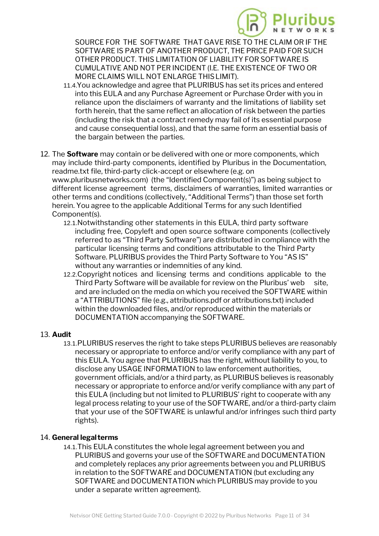

SOURCE FOR THE SOFTWARE THAT GAVE RI[SE TO THE CLAIM OR IF THE](https://www.pluribusnetworks.com) SOFTWARE IS PART OF ANOTHER PRODUCT, THE PRICE PAID FOR SUCH OTHER PRODUCT. THIS LIMITATION OF LIABILITY FOR SOFTWARE IS CUMULATIVE AND NOT PER INCIDENT (I.E. THE EXISTENCE OF TWO OR MORE CLAIMS WILL NOT ENLARGE THISLIMIT).

- 11.4.You acknowledge and agree that PLURIBUS has set its prices and entered into this EULA and any Purchase Agreement or Purchase Order with you in reliance upon the disclaimers of warranty and the limitations of liability set forth herein, that the same reflect an allocation of risk between the parties (including the risk that a contract remedy may fail of its essential purpose and cause consequential loss), and that the same form an essential basis of the bargain between the parties.
- 12. The **Software** may contain or be delivered with one or more components, which may include third-party components, identified by Pluribus in the Documentation, readme.txt file, third-party click-accept or elsewhere (e.g. on www.pluribusnetworks.com) (the "Identified Component(s)") as being subject to different license agreement terms, disclaimers of warranties, limited warranties or other terms and conditions (collectively, "Additional Terms") than those set forth herein. You agree to the applicable Additional Terms for any such Identified Component(s).
	- 12.1.Notwithstanding other statements in this EULA, third party software including free, Copyleft and open source software components (collectively referred to as "Third Party Software") are distributed in compliance with the particular licensing terms and conditions attributable to the Third Party Software. PLURIBUS provides the Third Party Software to You "AS IS" without any warranties or indemnities of any kind.
	- 12.2.Copyright notices and licensing terms and conditions applicable to the Third Party Software will be available for review on the Pluribus' web site, and are included on the media on which you received the SOFTWARE within a "ATTRIBUTIONS" file (e.g., attributions.pdf or attributions.txt) included within the downloaded files, and/or reproduced within the materials or DOCUMENTATION accompanying the SOFTWARE.

#### 13. **Audit**

13.1.PLURIBUS reserves the right to take steps PLURIBUS believes are reasonably necessary or appropriate to enforce and/or verify compliance with any part of this EULA. You agree that PLURIBUS has the right, without liability to you, to disclose any USAGE INFORMATION to law enforcement authorities, government officials, and/or a third party, as PLURIBUS believes is reasonably necessary or appropriate to enforce and/or verify compliance with any part of this EULA (including but not limited to PLURIBUS' right to cooperate with any legal process relating to your use of the SOFTWARE, and/or a third-party claim that your use of the SOFTWARE is unlawful and/or infringes such third party rights).

#### 14. **General legalterms**

14.1.This EULA constitutes the whole legal agreement between you and PLURIBUS and governs your use of the SOFTWARE and DOCUMENTATION and completely replaces any prior agreements between you and PLURIBUS in relation to the SOFTWARE and DOCUMENTATION (but excluding any SOFTWARE and DOCUMENTATION which PLURIBUS may provide to you under a separate written agreement).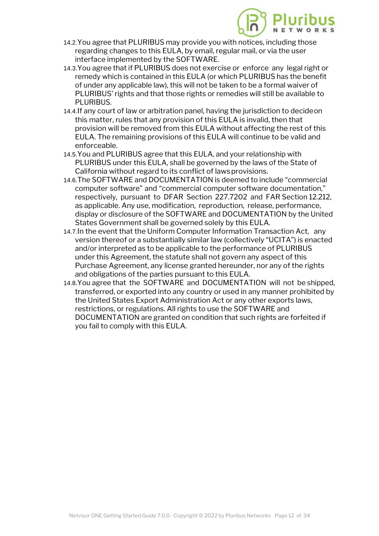

- 14.2.You agree that PLURIBUS may provide you wit[h notices, including those](https://www.pluribusnetworks.com) regarding changes to this EULA, by email, regular mail, or via the user interface implemented by the SOFTWARE.
- 14.3.You agree that if PLURIBUS does not exercise or enforce any legal right or remedy which is contained in this EULA (or which PLURIBUS has the benefit of under any applicable law), this will not be taken to be a formal waiver of PLURIBUS' rights and that those rights or remedies will still be available to PLURIBUS.
- 14.4.If any court of law or arbitration panel, having the jurisdiction to decideon this matter, rules that any provision of this EULA is invalid, then that provision will be removed from this EULA without affecting the rest of this EULA. The remaining provisions of this EULA will continue to be valid and enforceable.
- 14.5.You and PLURIBUS agree that this EULA, and your relationship with PLURIBUS under this EULA, shall be governed by the laws of the State of California without regard to its conflict of lawsprovisions.
- 14.6.The SOFTWARE and DOCUMENTATION is deemed to include "commercial computer software" and "commercial computer software documentation," respectively, pursuant to DFAR Section 227.7202 and FAR Section 12.212, as applicable. Any use, modification, reproduction, release, performance, display or disclosure of the SOFTWARE and DOCUMENTATION by the United States Government shall be governed solely by this EULA.
- 14.7.In the event that the Uniform Computer Information Transaction Act, any version thereof or a substantially similar law (collectively "UCITA") is enacted and/or interpreted as to be applicable to the performance of PLURIBUS under this Agreement, the statute shall not govern any aspect of this Purchase Agreement, any license granted hereunder, nor any of the rights and obligations of the parties pursuant to this EULA.
- 14.8.You agree that the SOFTWARE and DOCUMENTATION will not be shipped, transferred, or exported into any country or used in any manner prohibited by the United States Export Administration Act or any other exports laws, restrictions, or regulations. All rights to use the SOFTWARE and DOCUMENTATION are granted on condition that such rights are forfeited if you fail to comply with this EULA.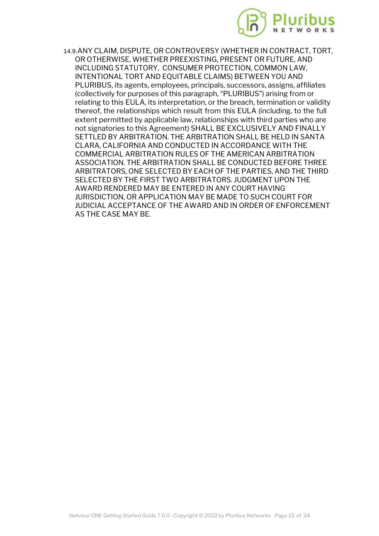

14.9.ANY CLAIM, DISPUTE, OR CONTROVERSY (W[HETHER IN CONTRACT, TORT,](https://www.pluribusnetworks.com) OR OTHERWISE, WHETHER PREEXISTING, PRESENT OR FUTURE, AND INCLUDING STATUTORY, CONSUMER PROTECTION, COMMON LAW, INTENTIONAL TORT AND EQUITABLE CLAIMS) BETWEEN YOU AND PLURIBUS, its agents, employees, principals, successors, assigns, affiliates (collectively for purposes of this paragraph, "PLURIBUS") arising from or relating to this EULA, its interpretation, or the breach, termination or validity thereof, the relationships which result from this EULA (including, to the full extent permitted by applicable law, relationships with third parties who are not signatories to this Agreement) SHALL BE EXCLUSIVELY AND FINALLY SETTLED BY ARBITRATION. THE ARBITRATION SHALL BE HELD IN SANTA CLARA, CALIFORNIA AND CONDUCTED IN ACCORDANCE WITH THE COMMERCIAL ARBITRATION RULES OF THE AMERICAN ARBITRATION ASSOCIATION. THE ARBITRATION SHALL BE CONDUCTED BEFORE THREE ARBITRATORS, ONE SELECTED BY EACH OF THE PARTIES, AND THE THIRD SELECTED BY THE FIRST TWO ARBITRATORS. JUDGMENT UPON THE AWARD RENDERED MAY BE ENTERED IN ANY COURT HAVING JURISDICTION, OR APPLICATION MAY BE MADE TO SUCH COURT FOR JUDICIAL ACCEPTANCE OF THE AWARD AND IN ORDER OF ENFORCEMENT AS THE CASE MAY BE.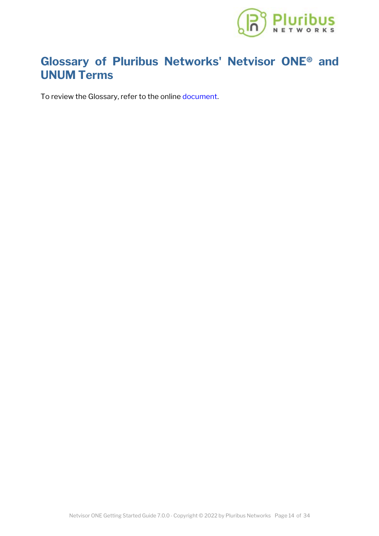

## **Glossary of Pluribus Networks' [Netvisor ONE® and](https://www.pluribusnetworks.com) UNUM Terms**

To review the Glossary, refer to the online [document](https://techdocassets.pluribusnetworks.com/netvisor/nv1_700/GSG/Glossary.html).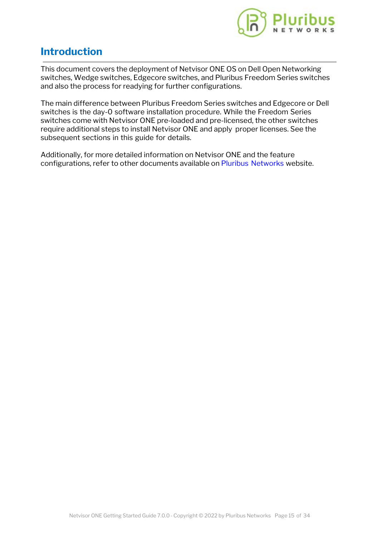

## **Introduction**

This document covers the deployment of Netvisor ONE OS on Dell Open Networking switches, Wedge switches, Edgecore switches, and Pluribus Freedom Series switches and also the process for readying for further configurations.

The main difference between Pluribus Freedom Series switches and Edgecore or Dell switches is the day-0 software installation procedure. While the Freedom Series switches come with Netvisor ONE pre-loaded and pre-licensed, the other switches require additional steps to install Netvisor ONE and apply proper licenses. See the subsequent sections in this guide for details.

Additionally, for more detailed information on Netvisor ONE and the feature configurations, refer to other documents available on [Pluribus Networks](https://www.pluribusnetworks.com/support/technical-documentation/) website.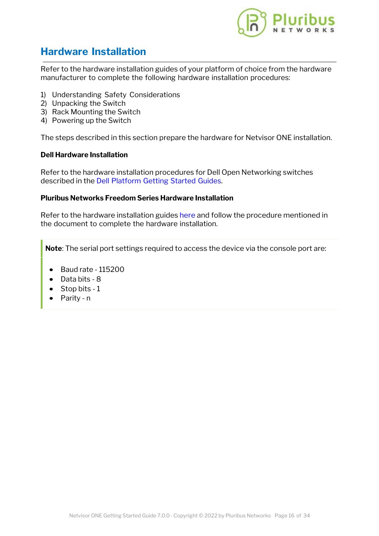

## **Hardware Installation**

Refer to the hardware installation guides of your platform of choice from the hardware manufacturer to complete the following hardware installation procedures:

- 1) Understanding Safety Considerations
- 2) Unpacking the Switch
- 3) Rack Mounting the Switch
- 4) Powering up the Switch

The steps described in this section prepare the hardware for Netvisor ONE installation.

#### **Dell Hardware Installation**

Refer to the hardware installation procedures for Dell Open Networking switches described in the [Dell Platform Getting Started Guides](https://www.dell.com/support/home/us/en/04?app=products&~ck=mn).

#### **Pluribus Networks Freedom Series Hardware Installation**

Refer to the hardware installation guides [here](https://www.pluribusnetworks.com/support/documentation-netvisor/) and follow the procedure mentioned in the document to complete the hardware installation.

**Note**: The serial port settings required to access the device via the console port are:

- · Baud rate 115200
- · Data bits 8
- Stop bits 1
- · Parity n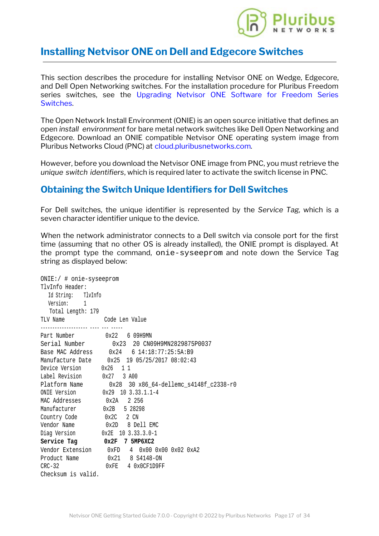

## **Installing Netvisor ONE on Dell and Edg[ecore Switches](https://www.pluribusnetworks.com)**

This section describes the procedure for installing Netvisor ONE on Wedge, Edgecore, and Dell Open Networking switches. For the installation procedure for Pluribus Freedom series switches, see the [Upgrading Netvisor ONE Software for Freedom Series](#page-28-0) [Switches](#page-28-0).

The Open Network Install Environment (ONIE) is an open source initiative that defines an open *install environment* for bare metal network switches like Dell Open Networking and Edgecore. Download an ONIE compatible Netvisor ONE operating system image from Pluribus Networks Cloud (PNC) at [cloud.pluribusnetworks.com](http://cloud.pluribusnetworks.com).

However, before you download the Netvisor ONE image from PNC, you must retrieve the *unique switch identifiers*, which is required later to activate the switch license in PNC.

## **Obtaining the Switch Unique Identifiers for Dell Switches**

For Dell switches, the unique identifier is represented by the *Service Tag,* which is a seven character identifier unique to the device.

When the network administrator connects to a Dell switch via console port for the first time (assuming that no other OS is already installed), the ONIE prompt is displayed. At the prompt type the command, onie-syseeprom and note down the Service Tag string as displayed below:

```
ONIE:/ # onie-syseeprom
TlvInfo Header:
  Id String: TlvInfo
  Version: 1
   Total Length: 179
TLV Name Code Len Value
-------------------- ---- --- -----
Part Number 0x22 6 09H9MN
Serial Number 0x23 20 CN09H9MN2829875P0037
Base MAC Address 0x24 6 14:18:77:25:5A:B9
Manufacture Date 0x25 19 05/25/2017 08:02:43
Device Version 0x26 1 1
Label Revision 0x27 3 A00
Platform Name 0x28 30 x86_64-dellemc_s4148f_c2338-r0
ONIE Version 0x29 10 3.33.1.1-4
MAC Addresses 0x2A 2 256
Manufacturer 0x2B 5 28298
Country Code 0x2C 2 CN
Vendor Name 0x2D 8 Dell EMC
Diag Version 0x2E 10 3.33.3.0-1
Service Tag 0x2F 7 5MP6XC2
Vendor Extension 0xFD 4 0x00 0x00 0x02 0xA2
Product Name 0x21 8 S4148-ON
CRC-32 0xFE 4 0x0CF1D9FF
Checksum is valid.
```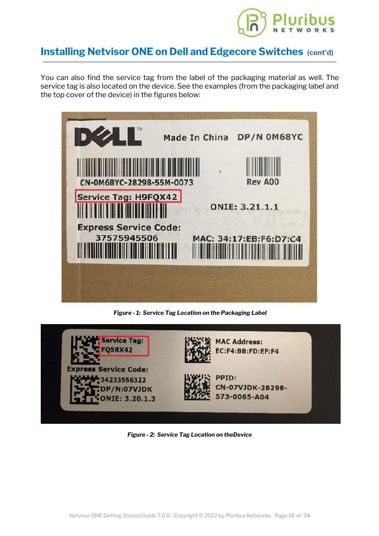

## **Installing Netvisor ONE on Dell and Edg[ecore Switches](https://www.pluribusnetworks.com) (cont'd)**

You can also find the service tag from the label of the packaging material as well. The service tag is also located on the device. See the examples (from the packaging label and the top cover of the device) in the figures below:



*Figure - 1: Service Tag Location on the Packaging Label*



*Figure - 2: Service Tag Location on theDevice*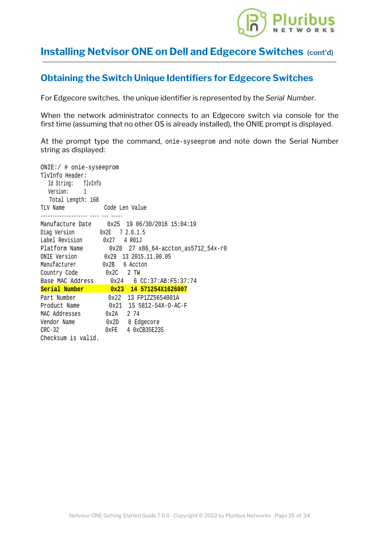

## **Installing Netvisor ONE on Dell and Edg[ecore Switches](https://www.pluribusnetworks.com) (cont'd)**

## **Obtaining the Switch Unique Identifiers for Edgecore Switches**

For Edgecore switches, the unique identifier is represented by the *Serial Number*.

When the network administrator connects to an Edgecore switch via console for the first time (assuming that no other OS is already installed), the ONIE prompt is displayed.

At the prompt type the command, onie-syseeprom and note down the Serial Number string as displayed:

| ONIE:/ # onie-syseeprom            |                                                  |
|------------------------------------|--------------------------------------------------|
| TlvInfo Header:                    |                                                  |
| Id String: TlvInfo                 |                                                  |
| Version: 1                         |                                                  |
| Total Length: 168                  |                                                  |
| TLV Name Code Len Value            |                                                  |
|                                    | Manufacture Date   0x25  19 06/30/2016  15:04:19 |
|                                    |                                                  |
| Label Revision 0x27 4 R01J         |                                                  |
|                                    |                                                  |
| ONIE Version 0x29 13 2015.11.00.05 |                                                  |
| Manufacturer 0x2B 6 Accton         |                                                  |
| Country Code 0x2C 2 TW             |                                                  |
|                                    | Base MAC Address  0x24  6 CC:37:AB:F5:37:74      |
|                                    | Serial Number 0x23 14 571254X1626007             |
| Part Number 0x22 13 FP1ZZ5654001A  |                                                  |
|                                    | Product Name 0x21 15 5812-54X-0-AC-F             |
| MAC Addresses 0x2A 2 74            |                                                  |
|                                    |                                                  |
| $CRC-32$                           | 0xFE 4 0xCB35E235                                |
| Checksum is valid.                 |                                                  |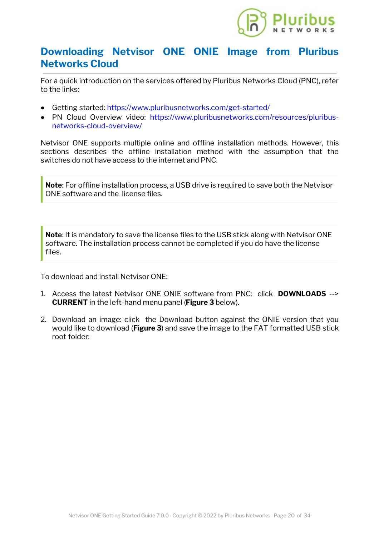

## **Downloading Netvisor ONE ONIE I[mage from Pluribus](https://www.pluribusnetworks.com) Networks Cloud**

For a quick introduction on the services offered by Pluribus Networks Cloud (PNC), refer to the links:

- · Getting started: <https://www.pluribusnetworks.com/get-started/>
- · PN Cloud Overview video: [https://www.pluribusnetworks.com/resources/pluribus](https://www.pluribusnetworks.com/resources/pluribus-networks-cloud-overview/)[networks-cloud-overview/](https://www.pluribusnetworks.com/resources/pluribus-networks-cloud-overview/)

Netvisor ONE supports multiple online and offline installation methods. However, this sections describes the offline installation method with the assumption that the switches do not have access to the internet and PNC.

**Note**: For offline installation process, a USB drive is required to save both the Netvisor ONE software and the license files.

**Note**: It is mandatory to save the license files to the USB stick along with Netvisor ONE software. The installation process cannot be completed if you do have the license files.

To download and install Netvisor ONE:

- 1. Access the latest Netvisor ONE ONIE software from PNC: click **DOWNLOADS** --> **CURRENT** in the left-hand menu panel (**Figure 3** below).
- 2. Download an image: click the Download button against the ONIE version that you would like to download (**Figure 3**) and save the image to the FAT formatted USB stick root folder: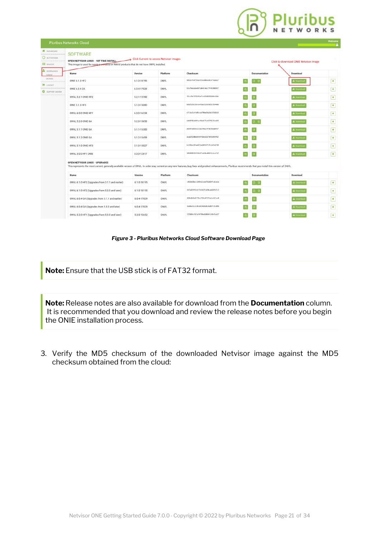|                                                                                | Pluribus Networks Cloud                                                                                                                                                                                                                            |             |                                         |                                                                                                                                                                     |               |                                       | Welcome                          |
|--------------------------------------------------------------------------------|----------------------------------------------------------------------------------------------------------------------------------------------------------------------------------------------------------------------------------------------------|-------------|-----------------------------------------|---------------------------------------------------------------------------------------------------------------------------------------------------------------------|---------------|---------------------------------------|----------------------------------|
| <b>N</b> DASHBOARD<br>C ACTIVATIONS<br>---------------------<br><b>DEVICES</b> | <b>SOFTWARE</b><br>OPEN NETVISOR LINUX - 1ST TIME INSTALL<br>This image is used for newly purchased or RMA'd products that do not have ONVL installed.                                                                                             |             | Click Current to access Netvisor images |                                                                                                                                                                     |               | Click to download ONIE Netvisor image |                                  |
| <b>L</b> DOWNLOADS<br>CORRELL                                                  | Name                                                                                                                                                                                                                                               | Version     | Platform                                | Checksum                                                                                                                                                            | Documentation | Download                              |                                  |
| AND FINEL<br>                                                                  | ONIE 6.1.0 HF2                                                                                                                                                                                                                                     | 6.1.0-18195 | ONVL                                    | NH2x7b4753def25eE@RebXZn77daEaf                                                                                                                                     | a a           | <b>A</b> Download                     | $\mathbf{R}$                     |
| TERRIT S<br>***********************<br><b>O</b> SUPPLIET CENTER                | <b>ONIE 6.0.4 GA</b>                                                                                                                                                                                                                               | 6.0.4-17029 | ONVL                                    | 82x79x5a9x48f1db414dc77f41988397                                                                                                                                    |               | & Downto                              | $\left\vert \star \right\rangle$ |
|                                                                                | ONVL 5.2.1 ONIE HF2                                                                                                                                                                                                                                | 5.2.1-15700 | ONVL                                    | 761c7bf278195pf2zb5388289484c5bb                                                                                                                                    |               | <b>A</b> Download                     | $\pmb{\ast}$                     |
|                                                                                | <b>ONIE 5.1.0 HF5</b>                                                                                                                                                                                                                              | 5.1.0-15080 | ONVL                                    | b682526c32x1x43de511b2e83c954468                                                                                                                                    |               | <b>A</b> Download                     | $\rightarrow$                    |
|                                                                                | ONVL 6.0.0 ONIE HF1                                                                                                                                                                                                                                | 6.0.0-16334 | ONVL                                    | s7clxZicfr#Scca790ad3sZdc1910Zd3                                                                                                                                    |               | <b>A</b> Download                     | $\star$                          |
|                                                                                | ONVL 5.2.0 ONIE GA                                                                                                                                                                                                                                 | 5.2.0-15650 | ONVL                                    | Rdoll785ddRf acFRddZ71nR276576cd39                                                                                                                                  | n m           | <b>A</b> Download                     | $\pmb{\star}$                    |
|                                                                                | ONVL 5.1.1 ONIE GA                                                                                                                                                                                                                                 | 5.1.1-15300 | ONVL                                    | d609fe863=1c51b348qc478e956d9f67                                                                                                                                    |               | A Download                            | $\star$                          |
|                                                                                | ONVL 5.1.2 ONIE GA                                                                                                                                                                                                                                 | 5.1.2-15459 | ONVL                                    | deab35288d944ff88e61b7345189ff82                                                                                                                                    |               | <b>A</b> Downooud                     | $\sqrt{\pi}$                     |
|                                                                                | ONVL 5.1.0 ONIE HF3                                                                                                                                                                                                                                | 5.1.0-15027 | ONVL                                    | 6c834ec6fee822pd481471flodc5d218                                                                                                                                    |               | & Download                            | $\bullet$                        |
|                                                                                | ONVL 3.0.0 HF1 ONIE                                                                                                                                                                                                                                | 3.0.0-12817 | ONVL                                    | 309890935f40b5f1d10ed064fc2ccf12                                                                                                                                    |               | <b>A</b> Download                     | $\star$                          |
|                                                                                | OPEN NETVISOR LINUX - UPGRADES<br>This represents the most current, generally available version of ONVL. In order stay current on any new features, bug fixes and product enhancements, Pluribus recommends that you install this version of ONVL. |             |                                         |                                                                                                                                                                     |               |                                       |                                  |
|                                                                                | Name                                                                                                                                                                                                                                               | Version     | Platform                                | Checksum                                                                                                                                                            | Documentation | Download                              |                                  |
|                                                                                | ONVL 6.1.0 HF2 (Upgrades from 3.1.1 and earlier)                                                                                                                                                                                                   | 6.1.0-18195 | ONVL                                    | <b16d18act189e12cad761b69fcdce2p< td=""><td></td><td><b>4</b> <i>Downings</i></td><td><math display="inline">\bullet</math></td></b16d18act189e12cad761b69fcdce2p<> |               | <b>4</b> <i>Downings</i>              | $\bullet$                        |
|                                                                                | ONVL 6.1.0 HF2 (Upgrades from 5.0.0 and later)                                                                                                                                                                                                     | 6.1.0-18195 | <b>ONVL</b>                             | 817u65F9161F74242f1d38ca969fb7c2                                                                                                                                    |               | A Downhad                             | $\mathbf{r}$                     |
|                                                                                | ONVL 6.0.4 GA (Upgrades from 3.1.1 and earlier)                                                                                                                                                                                                    | 6.0.4-17029 | ONVL                                    | 850x019x9f70c1794c0fff2x4c63fcc0                                                                                                                                    |               | & Download                            | $\pmb{\ast}$                     |
|                                                                                | ONVL 6.0.4 GA (Upgrades from 5.0.0 and later)                                                                                                                                                                                                      | 6.0.4-17029 | ONVL                                    | 6edbo31c128cd81468d8c4d8bfc5c89b                                                                                                                                    |               | & Downham                             | $\blacktriangleright$            |
|                                                                                | ONVL 5.2.0 HF1 (Upgrades from 5.0.0 and later)                                                                                                                                                                                                     | 5.2.0-15652 | <b>ONVL</b>                             | 515884cfb7af4768eds864fcb8e5ea57                                                                                                                                    |               | & Downing                             | ★                                |

#### *Figure 3 - Pluribus Networks Cloud Software Download Page*

**Note:** Ensure that the USB stick is of FAT32 format.

**Note:** Release notes are also available for download from the **Documentation** column. It is recommended that you download and review the release notes before you begin the ONIE installation process.

3. Verify the MD5 checksum of the downloaded Netvisor image against the MD5 checksum obtained from the cloud: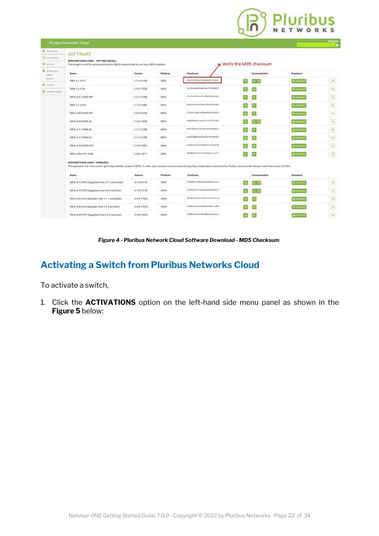# **Pluribus**

|                                                                   | Pluribus Networks Cloud                                                                                                                                                                                                                            |             |             |                                                                                                                                                                 |                         |                   | Welcome                  |
|-------------------------------------------------------------------|----------------------------------------------------------------------------------------------------------------------------------------------------------------------------------------------------------------------------------------------------|-------------|-------------|-----------------------------------------------------------------------------------------------------------------------------------------------------------------|-------------------------|-------------------|--------------------------|
| <b>N</b> DASHIONED<br>C ACTIVATIONS<br><br><b>DEVICES</b>         | <b>SOFTWARE</b><br>OPEN NETVISOR LINUX - 1ST TIME INSTALL<br>This image is used for newly purchased or RMA'd products that do not have ONVL installed.                                                                                             |             |             |                                                                                                                                                                 | Nerify the MD5 checksum |                   |                          |
| <b>EL DOWNLOADS</b><br>CHREST                                     | Name                                                                                                                                                                                                                                               | Version     | Platform    | Checksum                                                                                                                                                        | Documentation           | Download          |                          |
| ANDVIVES<br>                                                      | ONIE 6.1.0 HF2                                                                                                                                                                                                                                     | 6.1.0-18195 | ONVL        | 9852x7b4753def25eE@Reb32x77dataf                                                                                                                                | 日日                      | <b>A</b> Download | $\pmb{\ast}$             |
| $+ 100001$<br>------------------------<br><b>O</b> SUPPORT CENTER | <b>ONIE 6.0.4 GA</b>                                                                                                                                                                                                                               | 6.0.4-17029 | ONVL        | 82x79x5a9x48f1db414dc77f41988397                                                                                                                                |                         | & Downing         | $\left  \cdot \right $   |
| <b>**********************</b>                                     | ONVL 5.2.1 ONIE HF2                                                                                                                                                                                                                                | 5.2.1-15700 | ONVL        | 761c7bf278195cf2cb5388289484c5bb                                                                                                                                |                         | <b>A</b> Download | $\star$                  |
|                                                                   | <b>ONIE 5.1.0 HF5</b>                                                                                                                                                                                                                              | 5.1.0-15080 | ONVL        | b682526c32x1x43de511b2e83c954468                                                                                                                                |                         | <b>A</b> Download | $\rightarrow$            |
|                                                                   | ONVL 6.0.0 ONIE HF1                                                                                                                                                                                                                                | 6.0.0-16334 | ONVL        | s7clxZicfr#Sccs790sd3sZdc1910Zd1                                                                                                                                |                         | <b>A</b> Download | $\star$                  |
|                                                                   | ONVL 5.2.0 ONIE GA                                                                                                                                                                                                                                 | 5.2.0-15650 | ONVL        | RdoR7RSddRFacFRddZ71mR276576cd39                                                                                                                                | ) 0                     | <b>A</b> Download | $\star$                  |
|                                                                   | ONVL 5.1.1 ONIE GA                                                                                                                                                                                                                                 | 5.1.1-15300 | ONVL        | d69feB63e1c51b348qc478e956d9f67                                                                                                                                 |                         | A Downboad        | $\star$                  |
|                                                                   | ONVL 5.1.2 ONIE GA                                                                                                                                                                                                                                 | 5.1.2-15459 | ONVL        | degb35280d944ff88e61b7345189ff02                                                                                                                                |                         | <b>A</b> Downtoad | $\overline{\phantom{a}}$ |
|                                                                   | ONVL 5.1.0 ONIE HF3                                                                                                                                                                                                                                | 5.1.0-15027 | ONVL        | 6c834ec6fee822pd481471flodc5d218                                                                                                                                |                         | <b>A</b> Download | $\bullet$                |
|                                                                   | ONVL 3.0.0 HF1 ONIE                                                                                                                                                                                                                                | 3.0.0-12817 | ONVL        | 309890935744b5f1d10ed064fc2ccf12                                                                                                                                |                         | A Download        | $\star$                  |
|                                                                   | OPEN NETVISOR LINUX - UPGRADES<br>This represents the most current, generally available version of ONVL. In order stay current on any new features, bug fixes and product enhancements, Pluribus recommends that you install this version of ONVL. |             |             |                                                                                                                                                                 |                         |                   |                          |
|                                                                   | Name                                                                                                                                                                                                                                               | Version     | Platform    | Checksum                                                                                                                                                        | <b>Documentation</b>    | Download          |                          |
|                                                                   | ONVL 6.1.0 HF2 (Upgrades from 3.1.1 and earlier)                                                                                                                                                                                                   | 6.1.0-18195 | ONVL        | <b16d18act189e12cad761b69fcdce2s< td=""><td>5 B</td><td><b>4</b> Downings</td><td><math display="inline">\bullet</math></td></b16d18act189e12cad761b69fcdce2s<> | 5 B                     | <b>4</b> Downings | $\bullet$                |
|                                                                   | ONVL 6.1.0 HF2 (Upgrades from 5.0.0 and later)                                                                                                                                                                                                     | 6.1.0-18195 | <b>ONVL</b> | 817x65F9161F74242f1d38ca969fb7c2                                                                                                                                | 1 Q                     | <b>A</b> Download | $\star$                  |
|                                                                   | ONVL 6.0.4 GA (Upgrades from 3.1.1 and earlier)                                                                                                                                                                                                    | 6.0.4-17029 | ONVL        | BS0x019x9f70c1794c0fff2x4c63fcc0                                                                                                                                |                         | & Cownhad         | $\star$                  |
|                                                                   | ONVL 6.0.4 GA (Upgrades from 5.0.0 and later)                                                                                                                                                                                                      | 6.0.4-17029 | ONVL        | Endbo31c12Bcd81468d8c4s8bfc5c89b                                                                                                                                |                         | & Download        | $\star$                  |
|                                                                   | ONVL 5.2.0 HF1 (Upgrades from 5.0.0 and later)                                                                                                                                                                                                     | 5.2.0-15652 | <b>ONVL</b> | 515884cfb7af4768eds864fcb8e5ea57                                                                                                                                |                         | & Download        | $\star$                  |

*Figure 4 - Pluribus Network Cloud Software Download - MD5 Checksum*

## **Activating a Switch from Pluribus Networks Cloud**

To activate a switch,

1. Click the **ACTIVATIONS** option on the left-hand side menu panel as shown in the **Figure 5** below: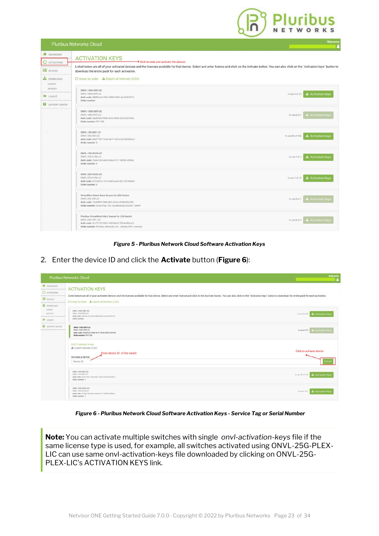

|                                        | <b>LIGHTINGS METANGLIES CINNA</b>                                                                                                                                                                                                                            | А                                            |
|----------------------------------------|--------------------------------------------------------------------------------------------------------------------------------------------------------------------------------------------------------------------------------------------------------------|----------------------------------------------|
| <b>W</b> DASHBOARD<br>O<br>ACTIVATIONS | <b>ACTIVATION KEYS</b><br>$\rightarrow$ Click to view and activate the devices                                                                                                                                                                               |                                              |
| DEVICES                                | Listed below are all of your activated devices and the licenses available for that device. Select and enter license and click on the Activate button. You can also click on the `Activation keys' button to<br>download the entire pack for each activation. |                                              |
| <b>DOWNLOADS</b><br><b>CURRENT</b>     | C Group by order & Export all licenses (CSV)                                                                                                                                                                                                                 |                                              |
| ARCHIVES                               | DNVL-100G-ENT-LIC                                                                                                                                                                                                                                            |                                              |
| $+$ 10000T                             | DNVL-100G-ENT-LIC<br>Auth code: 48b83co9-2965-4888-8282-cbc2ff6f3673<br>Order number:                                                                                                                                                                        | <b>≛</b> Activation Keys<br>$ln$ use 8 of 25 |
| SUPPORT CENTER                         |                                                                                                                                                                                                                                                              |                                              |
|                                        | ONVL-100G-ENT-LIC<br>ONVE-100G-ENT-LIC<br>Auth code: Saelif6d6-09db-4b10-98d6-df2f2c02549a<br>Order number: PO1180                                                                                                                                           | muse Dof 2 3. Activation Keys                |
|                                        | ONVL-10G-ENT-LIC<br>ONVL-10G-ENT-LIC<br>Auth code: 00677997-7ba9-4b71-9d1e-fdc3005036c1<br>Order number: 6                                                                                                                                                   | <b>1</b> Activation Keys<br>In use 49 of 100 |
|                                        | ONVL-10G-PLEX-LIC<br>DNVL-10G-PLEX-LIC<br>Auth code: 3fa4a1d8-adc6-44ea-81c7-1685b1ef8b6c<br>Order number: 6                                                                                                                                                 | In use 1 of 1 <b>L</b> Activation Keys       |
|                                        | ONVL-25G-PLEX-LIC<br>DNVL-25G-PLEX-LIC<br>Auth code: e25cd87e-1014-4e5f-aacb-661a707484e3<br>Order number: 6                                                                                                                                                 | In use 1 of 10 3. Activation Keys            |
|                                        | VirtualWire Stand-Alone license for 25G Switch<br>DNVL-25G-VW-LIC<br>Auth code: 15d4f9fd-19db-4fe1-924c-c82fb45ba7b0<br>Order number: Orion Play_TAC troubleshoot, SO2461, SWAP                                                                              | In use 0 of 1 <b>L</b> Activation Keys       |
|                                        | Pluribus VirtualWire Fabric license for 25G Switch<br>ONVL-25G-VW+LIC<br>Auth code: 31c7213f-03b9-435f-bBc0-7594e880ea13<br>Order number: Planbus Networks, Inc., Adding VW+ Licenses                                                                        | Activation Keys<br>$in$ use 0 of $S$         |

#### *Figure 5 - Pluribus Network Cloud Software Activation Keys*

2. Enter the device ID and click the **Activate** button (**Figure 6**):

|                                                                                             | Pluribus Networks Cloud                                                                                                                                                                                                                                                                                          | Welcome<br>œ                        |
|---------------------------------------------------------------------------------------------|------------------------------------------------------------------------------------------------------------------------------------------------------------------------------------------------------------------------------------------------------------------------------------------------------------------|-------------------------------------|
| <b>W</b> OASHIOARD<br><br>O. ACTIVATIONS<br><br><b>EL</b> cevices<br><br><b>C</b> DOWNLOADS | <b>ACTIVATION KEYS</b><br>Listed below are all of your activated devices and the licenses available for that device. Select and enter license and click on the Activate button. You can also click on the "Activation keys' button to download the entir<br>D Group by order <b>3.</b> Export all licenses (CSV) |                                     |
| contest<br>AROUNDS<br>**************************<br><b>ED LOGOUT</b><br>                    | ONVL-1000-ENT-LIC<br>ONVI-TODG-ENTITIC<br>Aith code: Alb&Ical-2915-4888-8232-chc29973873<br>Order number:                                                                                                                                                                                                        | <b>Industrial Advisor Keys</b>      |
| <b>Q</b> IMPRORT CENTER<br><b></b>                                                          | ONVL-1000-ENT-LIC<br>ONVE-1000-ENTERC<br>Auth eads: Saakh6d6-09db-4b10-98d6-df2f2c02549a<br>Order number: PO118E                                                                                                                                                                                                 | Instead of 2   L. Activistico Regis |
|                                                                                             | 0 of 2 licenses in use.<br>£ Export licenses (CSV)<br>Enter device ID of the switch<br>Activate a device:<br>Device ID                                                                                                                                                                                           | Click to activate device            |
|                                                                                             | ONVL-TOG-ENT-LIC<br>ONVL 100 ENTLIC<br>Auth code: 00677997-7bu9-8b71-9dlie-fdt3909036c1<br>Order number: ii                                                                                                                                                                                                      | In use 49 of 100 4 Activation Keys  |
|                                                                                             | ONVL-106-PLEX-LIC<br>ONVL-10G-PLEXUC<br>Auth code: 3fa-la1d8-adob-44aa-81c7-1883b7affb6c<br>Order mamber: 6                                                                                                                                                                                                      | inserted   Activation Keys          |

*Figure 6 - Pluribus Network Cloud Software Activation Keys - Service Tag or Serial Number*

**Note:** You can activate multiple switches with single *onvl-activation-keys* file if the same license type is used, for example, all switches activated using ONVL-25G-PLEX-LIC can use same onvl-activation-keys file downloaded by clicking on ONVL-25G-PLEX-LIC's ACTIVATION KEYS link.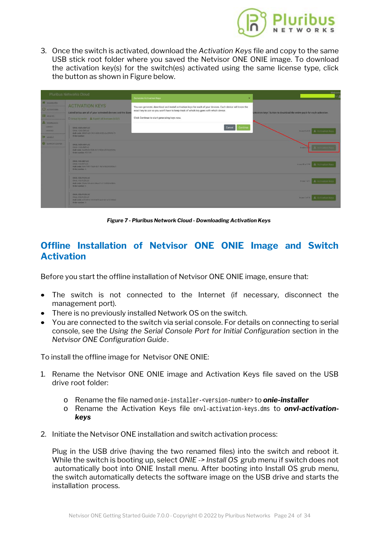

3. Once the switch is activated, download the *Activation Keys* file and copy to the same USB stick root folder where you saved the Netvisor [ONE ONIE image. To download](https://www.pluribusnetworks.com) the activation key(s) for the switch(es) activated using the same license type, click the button as shown in Figure below.



*Figure 7 - Pluribus Network Cloud - Downloading Activation Keys*

## **Offline Installation of Netvisor ONE ONIE Image and Switch Activation**

Before you start the offline installation of Netvisor ONE ONIE image, ensure that:

- The switch is not connected to the Internet (if necessary, disconnect the management port).
- There is no previously installed Network OS on the switch.
- · You are connected to the switch via serial console. For details on connecting to serial console, see the *Using the Serial Console Port for Initial Configuration* section in the *Netvisor ONE Configuration Guide*.

To install the offline image for Netvisor ONE ONIE:

- 1. Rename the Netvisor ONE ONIE image and Activation Keys file saved on the USB drive root folder:
	- o Rename the file named onie-installer-<version-number> to *onie-installer*
	- o Rename the Activation Keys file onvl-activation-keys.dms to *onvl-activationkeys*
- 2. Initiate the Netvisor ONE installation and switch activation process:

Plug in the USB drive (having the two renamed files) into the switch and reboot it. While the switch is booting up, select *ONIE -> Install OS* grub menu if switch does not automatically boot into ONIE Install menu. After booting into Install OS grub menu, the switch automatically detects the software image on the USB drive and starts the installation process.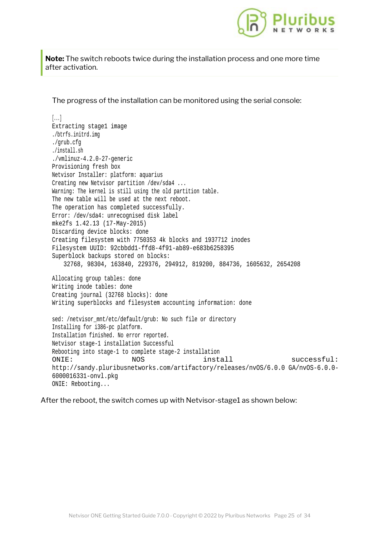

**Note:** The switch reboots twice during the installation p[rocess and one more time](https://www.pluribusnetworks.com) after activation.

The progress of the installation can be monitored using the serial console:

#### [...] Extracting stage1 image ./btrfs.initrd.img ./grub.cfg ./install.sh ./vmlinuz-4.2.0-27-generic Provisioning fresh box Netvisor Installer: platform: aquarius Creating new Netvisor partition /dev/sda4 ... Warning: The kernel is still using the old partition table. The new table will be used at the next reboot. The operation has completed successfully. Error: /dev/sda4: unrecognised disk label mke2fs 1.42.13 (17-May-2015) Discarding device blocks: done Creating filesystem with 7750353 4k blocks and 1937712 inodes Filesystem UUID: 92cbbdd1-ffd8-4f91-ab89-e683b6258395 Superblock backups stored on blocks: 32768, 98304, 163840, 229376, 294912, 819200, 884736, 1605632, 2654208 Allocating group tables: done Writing inode tables: done Creating journal (32768 blocks): done Writing superblocks and filesystem accounting information: done sed: /netvisor mnt/etc/default/grub: No such file or directory Installing for i386-pc platform. Installation finished. No error reported. Netvisor stage-1 installation Successful Rebooting into stage-1 to complete stage-2 installation ONIE: NOS install successful: http://sandy.pluribusnetworks.com/artifactory/releases/nvOS/6.0.0 GA/nvOS-6.0.0- 6000016331-onvl.pkg ONIE: Rebooting...

After the reboot, the switch comes up with Netvisor-stage1 as shown below: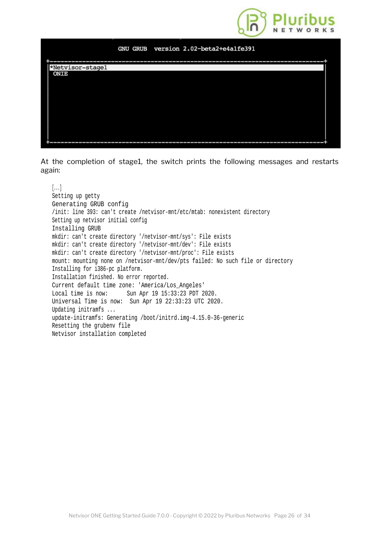

#### GNU GRUB version 2.02-beta2+e4a1fe391



At the completion of stage1, the switch prints the following messages and restarts again:

[...] Setting up getty Generating GRUB config /init: line 393: can't create /netvisor-mnt/etc/mtab: nonexistent directory Setting up netvisor initial config Installing GRUB mkdir: can't create directory '/netvisor-mnt/sys': File exists mkdir: can't create directory '/netvisor-mnt/dev': File exists mkdir: can't create directory '/netvisor-mnt/proc': File exists mount: mounting none on /netvisor-mnt/dev/pts failed: No such file or directory Installing for i386-pc platform. Installation finished. No error reported. Current default time zone: 'America/Los\_Angeles' Local time is now: Sun Apr 19 15:33:23 PDT 2020. Universal Time is now: Sun Apr 19 22:33:23 UTC 2020. Updating initramfs ... update-initramfs: Generating /boot/initrd.img-4.15.0-36-generic Resetting the grubenv file Netvisor installation completed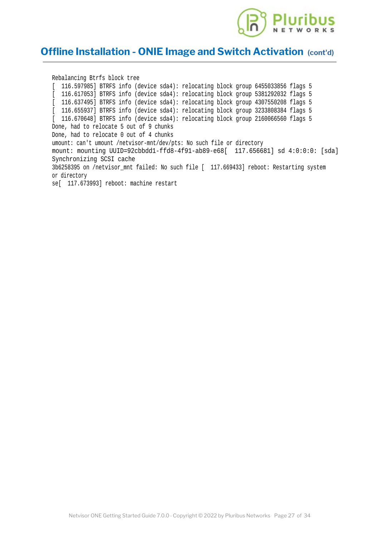

## **Offline Installation - ONIE Image and Sw[itch Activation](https://www.pluribusnetworks.com) (cont'd)**

Rebalancing Btrfs block tree [ 116.597985] BTRFS info (device sda4): relocating block group 6455033856 flags 5 [ 116.617053] BTRFS info (device sda4): relocating block group 5381292032 flags 5 [ 116.637495] BTRFS info (device sda4): relocating block group 4307550208 flags 5 [ 116.655937] BTRFS info (device sda4): relocating block group 3233808384 flags 5 [ 116.670648] BTRFS info (device sda4): relocating block group 2160066560 flags 5 Done, had to relocate 5 out of 9 chunks Done, had to relocate 0 out of 4 chunks umount: can't umount /netvisor-mnt/dev/pts: No such file or directory mount: mounting UUID=92cbbdd1-ffd8-4f91-ab89-e68[ 117.656681] sd 4:0:0:0: [sda] Synchronizing SCSI cache 3b6258395 on /netvisor\_mnt failed: No such file [ 117.669433] reboot: Restarting system or directory se[ 117.673993] reboot: machine restart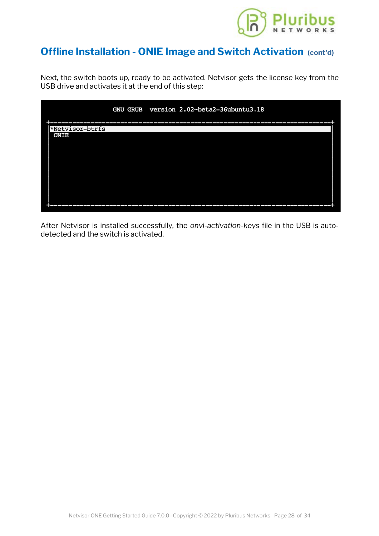

## **Offline Installation - ONIE Image and Sw[itch Activation](https://www.pluribusnetworks.com) (cont'd)**

Next, the switch boots up, ready to be activated. Netvisor gets the license key from the USB drive and activates it at the end of this step:

|                 |  | GNU GRUB version 2.02-beta2-36ubuntu3.18 |  |
|-----------------|--|------------------------------------------|--|
|                 |  |                                          |  |
| *Netvisor-btrfs |  |                                          |  |
| ONIE            |  |                                          |  |
|                 |  |                                          |  |
|                 |  |                                          |  |
|                 |  |                                          |  |
|                 |  |                                          |  |
|                 |  |                                          |  |
|                 |  |                                          |  |
|                 |  |                                          |  |
|                 |  |                                          |  |
|                 |  |                                          |  |
|                 |  |                                          |  |
|                 |  |                                          |  |

After Netvisor is installed successfully, the *onvl-activation-keys* file in the USB is autodetected and the switch is activated.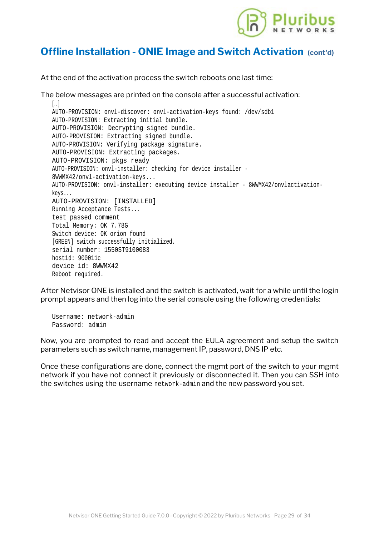

## **Offline Installation - ONIE Image and Sw[itch Activation](https://www.pluribusnetworks.com) (cont'd)**

At the end of the activation process the switch reboots one last time:

The below messages are printed on the console after a successful activation:  $\left[ \ldots \right]$ AUTO-PROVISION: onvl-discover: onvl-activation-keys found: /dev/sdb1 AUTO-PROVISION: Extracting initial bundle. AUTO-PROVISION: Decrypting signed bundle. AUTO-PROVISION: Extracting signed bundle. AUTO-PROVISION: Verifying package signature. AUTO-PROVISION: Extracting packages. AUTO-PROVISION: pkgs ready AUTO-PROVISION: onvl-installer: checking for device installer - 8WWMX42/onvl-activation-keys... AUTO-PROVISION: onvl-installer: executing device installer - 8WWMX42/onvlactivationkeys... AUTO-PROVISION: [INSTALLED] Running Acceptance Tests... test passed comment Total Memory: OK 7.78G Switch device: OK orion found [GREEN] switch successfully initialized. serial number: 1550ST9100083 hostid: 900011c device id: 8WWMX42 Reboot required.

After Netvisor ONE is installed and the switch is activated, wait for a while until the login prompt appears and then log into the serial console using the following credentials:

Username: network-admin Password: admin

Now, you are prompted to read and accept the EULA agreement and setup the switch parameters such as switch name, management IP, password, DNS IP etc.

Once these configurations are done, connect the mgmt port of the switch to your mgmt network if you have not connect it previously or disconnected it. Then you can SSH into the switches using the username network-admin and the new password you set.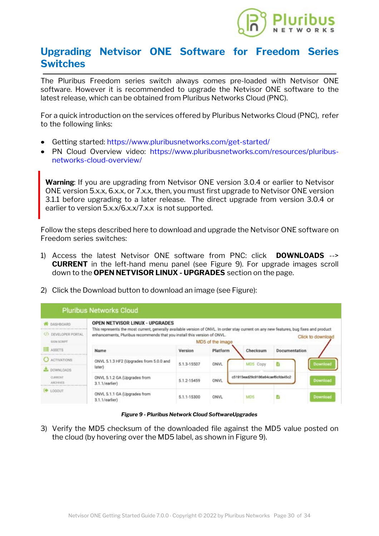

## <span id="page-28-0"></span>**Upgrading Netvisor ONE Software [for Freedom Series](https://www.pluribusnetworks.com) Switches**

The Pluribus Freedom series switch always comes pre-loaded with Netvisor ONE software. However it is recommended to upgrade the Netvisor ONE software to the latest release, which can be obtained from Pluribus Networks Cloud (PNC).

For a quick introduction on the services offered by Pluribus Networks Cloud (PNC), refer to the following links:

- Getting started: <https://www.pluribusnetworks.com/get-started/>
- · PN Cloud Overview video: [https://www.pluribusnetworks.com/resources/pluribus](https://www.pluribusnetworks.com/resources/pluribus-networks-cloud-overview/)[networks-cloud-overview/](https://www.pluribusnetworks.com/resources/pluribus-networks-cloud-overview/)

**Warning**: If you are upgrading from Netvisor ONE version 3.0.4 or earlier to Netvisor ONE version 5.x.x, 6.x.x, or 7.x.x, then, you must first upgrade to Netvisor ONE version 3.1.1 before upgrading to a later release. The direct upgrade from version 3.0.4 or earlier to version 5.x.x/6.x.x/7.x.x is not supported.

Follow the steps described here to download and upgrade the Netvisor ONE software on Freedom series switches:

- 1) Access the latest Netvisor ONE software from PNC: click **DOWNLOADS** --> **CURRENT** in the left-hand menu panel (see Figure 9). For upgrade images scroll down to the **OPEN NETVISOR LINUX - UPGRADES** section on the page.
- 2) Click the Download button to download an image (see Figure):



*Figure 9 - Pluribus Network Cloud SoftwareUpgrades*

3) Verify the MD5 checksum of the downloaded file against the MD5 value posted on the cloud (by hovering over the MD5 label, as shown in Figure 9).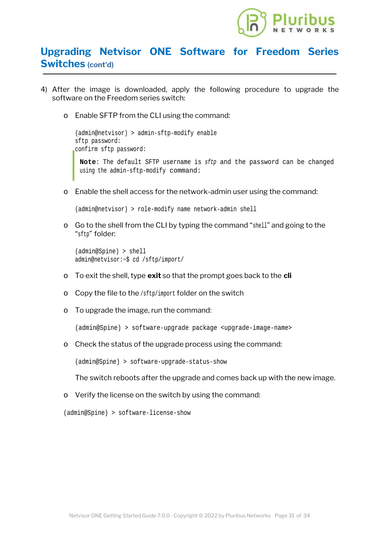

## **Upgrading Netvisor ONE Software [for Freedom Series](https://www.pluribusnetworks.com) Switches (cont'd)**

- 4) After the image is downloaded, apply the following procedure to upgrade the software on the Freedom series switch:
	- o Enable SFTP from the CLI using the command:

(admin@netvisor) > admin-sftp-modify enable sftp password: confirm sftp password: **Note**: The default SFTP username is *sftp* and the password can be changed using the admin-sftp-modify command:

o Enable the shell access for the network-admin user using the command:

(admin@netvisor) > role-modify name network-admin shell

o Go to the shell from the CLI by typing the command "shell" and going to the "sftp" folder:

```
(admin@Spine) > shell
admin@netvisor:~$ cd /sftp/import/
```
- o To exit the shell, type **exit** so that the prompt goes back to the **cli**
- o Copy the file to the /sftp/import folder on the switch
- o To upgrade the image, run the command:

(admin@Spine) > software-upgrade package <upgrade-image-name>

o Check the status of the upgrade process using the command:

(admin@Spine) > software-upgrade-status-show

The switch reboots after the upgrade and comes back up with the new image.

o Verify the license on the switch by using the command:

```
(admin@Spine) > software-license-show
```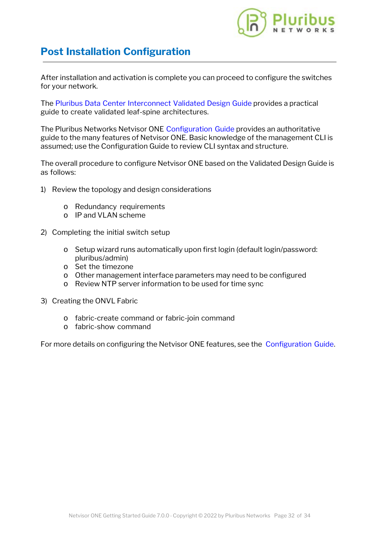

## **Post Installation Configuration**

After installation and activation is complete you can proceed to configure the switches for your network.

The [Pluribus Data Center Interconnect Validated Design Guide](https://www.pluribusnetworks.com/assets/PluribusDataCenterInterconnectValidatedDesignGuide5-2-19.pdf) provides a practical guide to create validated leaf-spine architectures.

The Pluribus Networks Netvisor ONE [Configuration Guide](https://www.pluribusnetworks.com/support/technical-documentation/) provides an authoritative guide to the many features of Netvisor ONE. Basic knowledge of the management CLI is assumed; use the Configuration Guide to review CLI syntax and structure.

The overall procedure to configure Netvisor ONE based on the Validated Design Guide is as follows:

- 1) Review the topology and design considerations
	- o Redundancy requirements
	- o IP and VLAN scheme
- 2) Completing the initial switch setup
	- o Setup wizard runs automatically upon first login (default login/password: pluribus/admin)
	- o Set the timezone
	- o Other management interface parameters may need to be configured
	- o Review NTP server information to be used for time sync
- 3) Creating the ONVL Fabric
	- o fabric-create command or fabric-join command
	- o fabric-show command

For more details on configuring the Netvisor ONE features, see the [Configuration Guide](https://www.pluribusnetworks.com/support/technical-documentation/).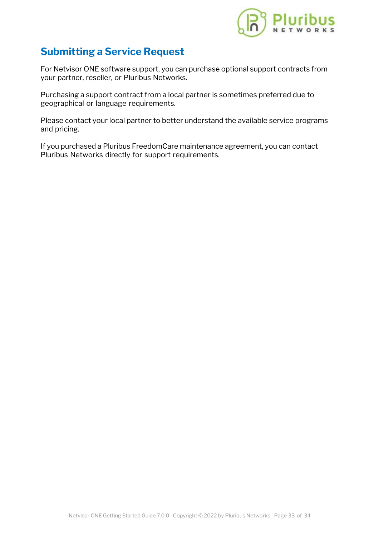

## **Submitting a Service Request**

For Netvisor ONE software support, you can purchase optional support contracts from your partner, reseller, or Pluribus Networks.

Purchasing a support contract from a local partner is sometimes preferred due to geographical or language requirements.

Please contact your local partner to better understand the available service programs and pricing.

If you purchased a Pluribus FreedomCare maintenance agreement, you can contact Pluribus Networks directly for support requirements.